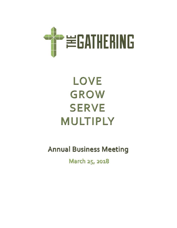

# LOVE **GROW SERVE MULTIPLY**

**Annual Business Meeting** 

March 25, 2018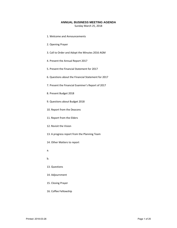### **ANNUAL BUSINESS MEETING AGENDA**

Sunday March 25, 2018

- 1. Welcome and Announcements
- 2. Opening Prayer
- 3. Call to Order and Adopt the Minutes 2016 AGM
- 4. Present the Annual Report 2017
- 5. Present the Financial Statement for 2017
- 6. Questions about the Financial Statement for 2017
- 7. Present the Financial Examiner's Report of 2017
- 8. Present Budget 2018
- 9. Questions about Budget 2018
- 10. Report from the Deacons
- 11. Report from the Elders
- 12. Revisit the Vision
- 13. A progress report from the Planning Team
- 14. Other Matters to report
- a.
- b.
- 13. Questions
- 14. Adjournment
- 15. Closing Prayer
- 16. Coffee Fellowship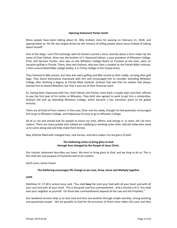#### **Opening Statement Pastor Garth**

Many people have been talking about Dr. Billy Graham since his passing on February 21, 2018, and appropriately so. His life was largely driven by the ministry of telling people about Jesus instead of talking about himself.

One of the blogs I visit (The Exchange with Ed Stetzer) carried a story recently about a hero maker by the name of Elner Edman. Elner was the brother of V. Raymond Edman, a past president of Wheaton College. Elner and Herman Fischer, who was on the Wheaton College Board of Trustees at the time, were on vacation golfing in Florida. There, they met Graham, who was then a student at the Florida Bible Institute, a then-unaccredited Bible college (today, it is Trinity College in the Tampa Area).

They listened to Billy preach, but they also went golfing and Billy served as their caddy, carrying their golf bags. They found themselves impressed with him and encouraged him to consider attending Wheaton College after finishing a degree at Florida Bible Institute. Graham had said that his mother had always wanted him to attend Wheaton, but that it was out of their financial reach.

So, having been impressed with him, both Edman and Fischer came back a couple days and Elner offered to pay the first year of his tuition at Wheaton. They both also agreed to work to get him a scholarship. Graham did end up attending Wheaton College, which became a key transition point to his global ministry.

There are all kinds of hero makers. In this case, Elner met his caddy, thought he had potential, encouraged him to go to Wheaton College, and helped pay his way to go to Wheaton College.

All of us can and should look for people to invest our time, efforts, and energy in. In short, let's be hero makers. There are many people who indeed are caddying or working some other odd job today who need us to come along side and help make them heroes.

May 2018 be filled with changed lives, new heroes, and hero-makers for the glory of God!

### **The Gathering exists to bring glory to God through lives changed by the Gospel of Jesus Christ.**

Our mission statement describes our heart. We exist to bring glory to God, and we long to do so. This is the chief aim and purpose of humanity and of all creation.

Garth Leno, *Senior Pastor*

### **The Gathering encourages life change as we Love, Grow, Serve and Multiply together**

### **LOVE**

Matthew 22: 37‐40 is where Jesus said, "You shall **love** the Lord your God with all your heart and with all your soul and with all your mind. This is the great and first commandment. And a second is lit it: You shall love your neighbor as yourself. On these two commandments depend all the Law and the Prophets."

Our weekend services help us to love God and love one another through simple worship, strong teaching and passionate prayer. We are grateful to God for the provision of three more elders this year and they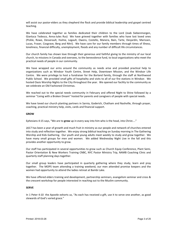will assist our pastor‐elders as they shepherd the flock and provide biblical leadership and gospel centred teaching.

We have celebrated together as families dedicated their children to the Lord (Joab Siebenmorgen, Gianluca Tedesco, Anna‐Jules Rus) We have grieved together with families who have lost loved ones (Pickle, Rowe, Desserault, Hulme, Legault, Owens, Costello, Manera, Bain, Tarte, Desjardin, Marissen, Lucas, Fraser, Cosgrave, Berg and Nitri). We have care for our family members through times of illness, loneliness, financial difficulty, unemployment, floods and any number of difficult life circumstances.

Our church family has shown love through their generous and faithful giving to the ministry of our local church, to missions in Canada and oversees, to the benevolence fund, to local organizations who meet the practical needs of people in our community.

We have wrapped our arms around the community as needs arise and provided practical help to organizations such as Windsor Youth Centre, Street Help, Downtown Mission, and the Windsor Life Centre. We were privilege to host a fundraiser for the Borland family, through the staff at Northwood Public School. We provided small gifts of hospitality and visits to all of our fire stations in Windsor. We hosted Oasis Worship Nights to the City throughout the year. We opened our facility to the community as we celebrate an Old Fashioned Christmas.

We reached out to the special needs community in February and offered Night to Shine followed by a seminar "Living with a Broken Dream" hosted for parents and caregivers of people with special needs.

We have loved our church planting partners in Sarnia, Goderich, Chatham and Nashville, through prayer, coaching, practical ministry help, visits, cards and financial support.

### **GROW**

Ephesians 4:15 says, "We are to **grow** up in every way into him who is the head, into Christ...."

2017 has been a year of growth and much fruit in ministry as our people and network of churches entered into study and reflection together. We enjoy strong biblical teaching on Sunday morning in The Gathering Worship and Kids Gathering. Our youth and young adults meet weekly to study and grow together. We have many small groups for men and women. We added Wednesday Night Live in the fall and this provides another opportunity to grow.

Our staff has participated in several opportunities to grow such as Church Equip Conference, Plant Semi, Pastor Orientation & New Workers Training CNBC, NYC Pastor Ministry Trip, NAMB Coaching Clinic and quarterly staff planning days together.

Our small group leaders have participated in quarterly gathering where they study, learn and pray together. The MOPS team attending a training weekend, our men attended promise keepers and the women had opportunity to attend the ladies retreat at Bambi Lake.

We have offered elders training and development, partnership seminars, evangelism seminar and cross & the crescent workshop for people interested in reaching out to the Muslim community.

### **SERVE**

In 1 Peter 4:10 the Apostle exhorts us, "As each has received a gift, use it to serve one another, as good stewards of God's varied grace."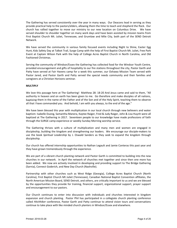The Gathering has served consistently over the year in many ways. Our Deacons lead in serving as they provide practical help to the pastors/elders, allowing them the time to teach and shepherd the flock. Our church has rallied together to move our ministry to our new location on Columbus Drive. We have served shoulder to shoulder together on many work days and have been assisted by mission teams from First Baptist Church Mt. Juliet, Tennessee, and Grumlaw and Mile City, both part of the SEND Detroit Network.

We have served the community in various family focused events including Night to Shine, Easter Egg Hunt, Kids Safety Day at Talbot Trail, Surge Camp with the help of First Baptist Church Mt. Juliet, Free Park Event at Captain Wilson Park with the help of College Acres Baptist Church in North Carolina, and Old Fashioned Christmas.

Serving the community of Windsor/Essex the Gathering has collected food for the Windsor Youth Centre, provided encouragement and gifts of hospitality to our fire stations throughout the city, Pastor Garth and Patty have served at Fair Havens camp for a week this summer, our Oshawa Mission Team served with Pastor Jared, and Pastor Garth and Patty served the special needs community and their families and caregivers at a Christian Horizons seminar.

### **MULTIPLY**

We love this passage here at The Gathering! Matthew 28: 18-20 And Jesus came and said to them, "All authority in heaven and on earth has been given to me. Go therefore and make disciples of all nations, baptizing them in the name of the Father and of the Son and of the Holy Spirit, teaching them to observe all that I have commanded you. And behold, I am with you always, to the end of the age."

We have been blessed this year with multiplication in our local church through new believers and water baptism: Isabelle Duong, Samantha Manera, Kaytee Raiger, Fred & Judy Raiger, John & Lisa Huynh were all baptized at The Gathering in 2017. Seventeen people to our knowledge have made professions of faith through the SURGE camp experience or weekly Sunday Morning worship service.

The Gathering thrives with a culture of multiplication and many men and women are engaged in discipleship, building the kingdom and strengthening our leaders. We encourage our disciple‐makers to use the book *Spiritual Leadership* by J. Oswald Sanders as they seek to expand the kingdom through discipleship.

Our church has offered internship opportunities to Nathan Legault and Jamie Conteras this past year and they have grown tremendously through the experience.

We are part of a vibrant church planting network and Pastor Garth is committed to building into the new churches in our network. In April the network of churches met together and since then one more has been added. We now are actively involved in developing and providing support to The Bridge Gathering (Sarnia), Connect Goderich, and New Day Church (Nashville).

Partnership with other churches such as West Ridge (Georgia), College Acres Baptist Church (North Carolina), First Baptist Church Mt Juliet (Tennessee), Canadian National Baptist Convention affiliates, the North American Mission Board, SEND Detroit, and others, are critically important to us and we are blessed by the opportunities they provide for training, financial support, organizational support, prayer support and encouragement to our pastors.

Our Church continues to enter into discussion with individuals and churches interested in kingdom expansion and church planting. Pastor Phil has participated in a collegiate church planting conference called *Hitchhiker* conference, Pastor Garth and Patty continue to attend vision tours and conversations continue to take place with like minded church planters in Windsor/Essex and elsewhere.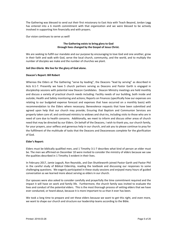The Gathering was blessed to send out their first missionary to East Asia with Teach Beyond, Jordan Legg has entered into a 6 month commitment with that organization and we were blessed to be actively involved in supporting him financially and with prayers.

Our vision continues to serve us well!

### **The Gathering exists to bring glory to God through lives changed by the Gospel of Jesus Christ.**

We are seeking to fulfill our mandate and our purpose by encouraging to love God and one another, grow in their faith and walk with God, serve the local church, community, and the world, and to multiply the number of disciples we make and the number of churches we plant.

### *Soli Deo Gloria.* **We live for the glory of God alone.**

### **Deacon's Report: Bill Robert**

Whereas the Elders at The Gathering "serve by leading", the Deacons "lead by serving" as described in Acts 6:1‐7. Presently we have 5 church partners serving as Deacons and Pastor Garth is engaged in discipleship sessions with potential new Deacon Candidates. Deacon Ministry meetings are held monthly and discuss a variety of practical church needs including: Facility needs of our building, both inside and outside; Health and Safety monitoring and actions; Reports on Finances (specifically how our expenses are relating to our budgeted expense forecast and expenses that have occurred on a monthly basis) with recommendation to the Elders where necessary; Benevolence requests that have been submitted and agreed upon help that our church may provide; Ensuring that Baptism and Communion Services are properly taken care of; and continued ministry to widows and shut‐ins, including visits to those who are in need of care due to health concerns. Additionally, we meet to inform and discuss other areas of church need that may be directed by our Elders. On behalf of the Deacons, I wish to thank you, our church family, for your prayers, your selfless and generous help in our church, and ask you to please continue to pray for the fulfillment of the multitude of tasks that the Deacons and Deaconesses complete for the glorification of God.

### **Elder's Report:**

Elders must be biblically qualified men, and 1 Timothy 3:1-7 describes what kind of person an elder must be. The men we affirmed on December 10 were invited to consider the ministry of elders because we saw the qualities described in 1 Timothy 3 evident in their lives.

In February 2017, Jamie Legault, Ron Reynolds, and Dan Shuttleworth joined Pastor Garth and Pastor Phil in the careful study of Biblical Eldership, reading the textbook and discussing our responses to some challenging questions. We eagerly participated in these study sessions and enjoyed many hours of guided conversation as we learned more about serving as elders in our church.

Our spouses were also asked to consider carefully and prayerfully the time commitment required and the impact it will have on work and family life. Furthermore, the church family was invited to evaluate the lives and conduct of the potential elders. This is the most thorough process of vetting elders that we have ever conducted, or heard about, because it is more important to us than it ever has been.

We took a long time to prepare and vet these elders because we want to get this right, and even more, we want to shape our church and structure our leadership teams according to the Bible.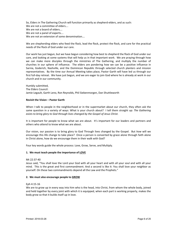So, Elders in The Gathering Church will function primarily as shepherd‐elders, and as such: We are not a committee of elders.... We are not a board of elders…. We are not a panel of experts…. We are not an extension of some denomination….

We are shepherding elders who feed the flock, lead the flock, protect the flock, and care for the practical needs of the flock of God under our care.

Our work has just begun, but we have begun considering how best to shepherd the flock of God under our care, and looking at some systems that will help us in that important work. We are praying through how we can make more disciples through the ministries of The Gathering, and multiply the number of churches in our sphere of influence. The elders are pondering how we can be a positive influence in Sarnia, Goderich, Nashville, and the Dominican Republic through selected church planters and mission representatives. By the time our Annual Meeting takes place, Pastor Garth will have led us through our first full-day retreat. We have just begun, and we are eager to join God where he is already at work in our church and in our community.

Humbly submitted, The Elders Council: Jamie Legault, Garth Leno, Ron Reynolds, Phil Siebenmorgen, Dan Shuttleworth

### **Revisit the Vision – Pastor Garth**

When I talk to people in the neighborhood or in the supermarket about our church, they often ask the same question in a variety of ways: What is your church about? I tell them straight up: *The Gathering exists to bring glory to God through lives changed by the Gospel of Jesus Christ.*

It is important for people to know what we are about. It's important for our leaders and partners and others who attend to know what we are about.

Our vision, our passion is to bring glory to God Through lives changed by the Gospel. But *how* will we encourage this life change to take place? Once a person is converted by grace alone through faith alone in Christ alone, how do we encourage them in their walk with God?

Four key words guide the whole process: Love, Grow, Serve, and Multiply.

### **1. We must teach people the importance of LOVE**

### Mt 22:37‐40

Jesus said, "You shall love the Lord your God with all your heart and with all your soul and with all your mind. This is the great and first commandment. And a second is like it: You shall love your neighbor as yourself. On these two commandments depend all the Law and the Prophets."

### **2. We must also encourage people to GROW**

#### Eph 4:15‐16

We are to grow up in every way into him who is the head, into Christ, from whom the whole body, joined and held together by every joint with which it is equipped, when each part is working properly, makes the body grow so that it builds itself up in love.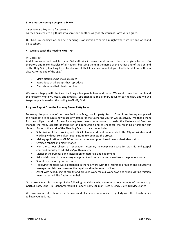### **3. We must encourage people to SERVE**

### 1 Pet 4:10 is a key verse for serving:

As each has received a gift, use it to serve one another, as good stewards of God's varied grace.

Our God is a sending God, and he is sending us on mission to serve him right where we live and work and go to school.

### **4. We also teach the need to MULTIPLY**

### Mt 28:18‐20

And Jesus came and said to them, "All authority in heaven and on earth has been given to me. Go therefore and make disciples of all nations, baptizing them in the name of the Father and of the Son and of the Holy Spirit, teaching them to observe all that I have commanded you. And behold, I am with you always, to the end of the age."

- Make disciples who make disciples
- Reproduce small groups that reproduce
- Plant churches that plant churches

We are not happy with the idea of adding a few people here and there. We want to see the church and the kingdom multiply…locally and globally. Life change is the primary focus of our ministry and we will keep sharply focused on this calling to Glorify God.

### **Progress Report from the Planning Team: Patty Leno**

Following the purchase of our new facility in May, our Property Search Committee, having completed their mandate to secure a new place of worship for the Gathering Church was dissolved. We thank them for their diligent work. A new Planning team was commissioned to assist the Pastors and Deacons manage the many aspects of transition and renovation and to shepherd the rezoning efforts for our church. Some of the work of the Planning Team to date has included:

- Submission of the rezoning and official plan amendment documents to the City of Windsor and working with our consultant Paul Bezaire to complete the process.
- Making application to MPAC for property tax exemption based on our charitable status
- Oversee repairs and maintenance
- Plan the various phases of renovation necessary to equip our space for worship and gospel centered ministry to adult/kids/youth ministry
- Manager the purchase and installation of materials and equipment
- Sell and dispose of unnecessary equipment and items that remained from the previous owner
- Shut down the refrigeration units
- Following the flood we experienced in the fall, work with the insurance provider and adjuster to manage the claim and oversee the repairs and replacement of items
- Assist with scheduling of facility and grounds work for our work days and when visiting mission teams attended The Gathering to help

Our current team is made up of the following individuals who serve in various aspects of the ministry: Garth & Patty Leno; Phil Siebenmorgen; Bill Robert; Barry Stillman; Pete & Cindy Gietz; Bill MacCharles

We have worked closely with the Deacons and Elders and communicate regularly with the church family to keep you updated.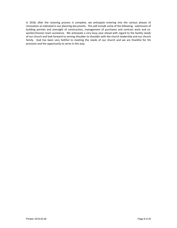In 2018, after the rezoning process is complete, we anticipate entering into the various phases of renovation as indicated in our planning documents. This will include some of the following: submission of building permits and oversight of construction, management of purchases and contract work and coworker/mission team assistance. We anticipate a very busy year ahead with regard to the facility needs of our church and look forward to serving shoulder to shoulder with the church leadership and our church family. God has been very faithful to meeting the needs of our church and we are thankful for His provision and the opportunity to serve in this way.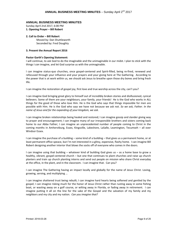### **ANNUAL BUSINESS MEETING MINUTES**

Sunday April 2nd 2017, 6:00 PM **1. Opening Prayer – Bill Robert** 

### **2. Call to Order – Bill Robert**

Moved by: Dan Shuttleworth Seconded by: Fred Doughty

### **3. Present the Annual Report 2016**

### **Pastor Garth's Opening Statement:**

I will continue, to ask God to do the imaginable and the unimaginable in our midst. I plan to stick with the things I *can* imagine, and let God surprise us with the unimaginable.

I can imagine status‐quo churches, once gospel‐centered and Spirit‐filled, being re‐fired, renewed and refocused through your influence and your prayers and your giving here at The Gathering. According to the power that is at work within us, we should ask Jesus to breathe upon those dry bones and bring fresh life.

I can imagine the restoration of gospel joy, first love and true worship across the city, can't you?

I can imagine God bringing great glory to himself out of incredibly broken stories and disillusioned, cynical believers. Some of them are your neighbours, your family, your friends! He is the God who works in ALL things for the good of those who love Him. He is the God who says that things impossible for men are possible with Him. He is the God who says we have not because we ask not. *So we ask, Father. In the name of Jesus and for the expanding of your kingdom, we ask.*

I can imagine broken relationships being healed and restored; I can imagine gossip and slander giving way to prayer and encouragement; I can imagine many of our irresponsible brothers and sisters coming back home to our Abba Father; I can imagine an unprecedented number of people coming to Christ in the coming months in Amherstburg, Essex, Kingsville, Lakeshore, LaSalle, Leamington, Tecumseh – all over Windsor Essex.

I can imagine the purchase of a building – some kind of a building – that gives us a permanent home, or at least permanent office speace, but I'm not interested in a glitzy, expensive, flashy home. I can imagine Bill Robert designing another interior that blows the socks off of everyone who comes in the doors.

I can imagine using that building – whatever kind of building God gives us – as a home base to grow a healthy, vibrant, gospel-centered church – but one that continues to plant churches and raise up church planters and train up church planting interns and send out people on mission who share Christ everyday at the office, in the plant, and in the classroom. I can imagine that. Can you?

I can imagine The Gathering having an impact locally and globally for the name of Jesus Christ. Loving, growing, serving, and multiplying …

I can imagine shattered trust being rebuilt; I can imagine hard hearts being softened and gentled by the gospel; I can imagine risking much for the honor of Jesus Christ rather than rusting away in some fishing boat, or wasting away on a golf course, or wilting away in Florida, or fading away in retirement. I can imagine putting it all on the line for the sake of the Gospel and the salvation of my family and my neighbors and my city and my nation. *Can you imagine that?*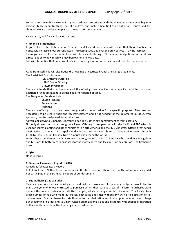### **ANNUAL BUSINESS MEETING MINUTES** - Sunday April 2<sup>nd</sup> 2017

So these are a few things we can imagine. Lord Jesus, surprise us with the things we cannot even begin to imagine. Make beautiful things out of our lives, and make a beautiful thing out of our church and the churches we are privileged to plant in the years to come. Amen.

By His grace, and for His glory, Garth Leno

### **4. Financial Statements:**

If you refer to the Statement of Revenues and Expenditures, you will notice that there has been a noticeable increase in our current assets, increasing \$209,260 over the previous year—a 46% increase! Thank you church for your faithfulness with tithes and offerings. This amount is significant in that it has direct relation to how much we may borrow for a new facility.

You will also notice that our current liabilities are very low and were maintained from the previous year.

Aside from cash, you will also notice the headings of Restricted Funds and Designated Funds. The Restricted Funds include:

IMB Christmas Offering NAMB Easter Offering Growth Investment

These are funds that you the donor of the offering have specified for a specific restricted purpose. Restricted funds are meant to be used in a short period of time.

The Designated Funds include:

Church Planting Benevolence Missions

These are offerings that have been designated to be set aside for a specific purpose. They are not necessarily to be used in their entirety immediately, and if not needed for the designated purpose, with approval, may be designated for another use.

As you look down to Expenditures, you will see The Gathering's commitment to multiplication.

Not only do we contribute through our Easter Offering in co-operation with the CNBC and SBC which is used for church planting and other ministries in North America and the IMB Christmas Offering that sends missionaries to spread the Gospel worldwide, but we also contribute to Co‐operative Giving through CNBC to share Jesus in Canada, North America and around the world.

Most other expenditures are fairly self‐explanatory, noting that in 2016 we have broken down Evangelism and Missions to better record expenses for the many church and local mission celebrations The Gathering hosts.

### **5. Q&A**

None received

### **6. Financial Examiner's Report of 2016**

It reads as follows: Read Report

In full disclosure, Nathan Leno is a partner in this firm, however, there is no conflict of interest, as he did not participate in the Examiner's Report of our documents.

### **7. The Gathering's 2017 Budget.**

This past year, our various ministry areas had history to work with for planning budgets. I would like to thank everyone who was entrusted to purchase within their various areas of ministry. Purchases were made with concern to stay within allotted budgets, which in many areas is quite small. Thanks also to a great number of you who made purchases, both large and small without any wish or expectation of re‐ imbursement. Special thanks to Lorie Hoehne for her dedication and hours upon hours of time to keep our accounting in order and to Cindy, whose organizational skills and diligence with budget preparation both expedites and simplifies the budget approval process.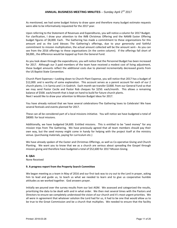### **ANNUAL BUSINESS MEETING MINUTES** - Sunday April 2<sup>nd</sup> 2017

As mentioned, we had some budget history to draw upon and therefore many budget estimate requests were able to be informatively requested for the 2017 year.

Upon referring to the Statement of Revenues and Expenditures, you will notice a column for 2017 Budget. For clarification, I draw your attention to the IMB Christmas Offering and the NAMB Easter Offering budget figures of \$8,000. Each. The Gathering has made a commitment to these organizations for this amount and as the Lord blesses The Gathering's offerings, due to your generosity and faithful commitment to mission multiplication, the actual amount collected will be the amount sent‐‐ As you can see from the 2016 offerings to these organizations (in the centre column). If the offerings fall short of \$8,000., the difference would be topped up from the General Fund.

As you look down through the expenditures, you will notice that the Personnel Budget has been increased for 2017. Although our 3 paid members of the team have received a modest cost of living adjustment, these budget amounts reflect the additional costs due to planned incrementally decreased grants from the US Baptist State Convention.

Church Plant Expenses—Looking down to Church Plant Expense, you will notice that 2017 has a budget of \$12,000. and is worthy of some explanation. This account serves as a parent account for each of our 2 church plants; 1 in Sarnia and 1 in Godrich. Each month we transfer \$1000. from our General Fund so that we may send Pastor Cecile and Pastor Rob cheques for \$250. each/month. This allows a remaining balance of \$500. each/month that is kept on hand to build for future church plants. Next I would like to draw your attention to Mission Budget Ideas for 2017.

You have already noticed that we have several celebrations‐The Gathering loves to Celebrate! We have several festivals and events planned for 2017.

These can all be considered part of a local missions initiative. You will notice we have budgeted a total of \$8000. for local missions.

Additionally, we have budgeted \$4,600. Entitled missions. This is entitled to be "seed money" for any mission trips from The Gathering. We have previously agreed that all team members should pay their own way, but the seed money might come in handy for helping with the project itself at the ministry venue. (purchasing materials, paying for curriculum etc.)

We have already spoken of the Easter and Christmas Offerings, as well as Co-operative Giving and Church Planting. We want you to know that we as a church are serious about spreading the Gospel through mission giving and therefore have budgeted a total of \$52,600 for 2017 Mission Giving.

### **8. Q&A**

None Received

### **9. A progress report from the Property Search Committee**

We began meeting as a team in May of 2016 and our first task was to cry out to the Lord in prayer, asking him to lead and guide us, to teach us what we needed to learn and to give us cooperative humble attitudes as we worked together. God answers prayer.

Initially we poured over the survey results from our last AGM. We assessed and categorized the results, prioritizing the data to be dealt with and in what order. We then met several times with the Pastors and Directors to ensure we completely understood the vision of our church and it's most urgent priorities. We all were in agreement that whatever solution the Lord had for us, it had to be one that would allow us to be true to the Great Commission and be a church that multiplies. We needed to ensure that the facility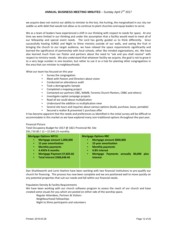we acquire does not restrict our ability to minister to the lost, the hurting, the marginalized in our city nor saddle us with debt that would not allow us to continue to plant churches and equip leaders to serve.

We as a team of leaders have experienced a shift in our thinking with respect to needs for space. At one time we were limited in our thinking and under the assumption that a facility would need to meet all of our fellowship and special event needs. The Lord has gently guided us to think differently. Since successfully hosting SURGE and Night to Shine ministry outside of our walls, and seeing the fruit in bringing the church to our target audience, we have relaxed the space requirements significantly and learned the significance of partnership with local schools, other like minded organizations, etc. We have also learned much from our Pastor and partners about the need to "ask and you shall receive" with respect to ministry needs. We also understand that whatever facility we acquire, the goal is not to grow it to a very large number in one location, but rather to use it as a hub for planting other congregations in the area that can minister to neighbourhoods.

What our team has focused on this year

- Survey the congregation
- Meet with Pastors and Directors about vision
- Conducted an attendance audit
- Took a demographic Sample
- Completed a mapping project
- Contacted our partners (SBC, NAMB, Toronto Church Planters, CNBC and others)
- Investigate capital campaign projects
- Read all we could about multiplication
- Understand the addition vs multiplication view
- Several site tours and inquiries about various options (build, purchase, lease, portable)
- Secured a realtor & presented 1 purchase offer

It has become apparent that the needs and preferences as identified in the initial survey will be difficult to accommodate in this market so we have explored many non-traditional options throughout the past year.

### Financial Picture

Total Occupancy Budget for 2017 @ 1821 Provincial Rd. Site \$91,719.00 / 12 = \$7,643.25 monthly

### **Mortgage Options WFCU**

- **Mortgage amount 1,000,000**
- **15 year amortization**
- **Monthly payments**
- **4.450%‐6 months**
- **Mortgage Payment \$7,603.66**
- **Total interest \$368,648.46**

### **Mortgage Options RBC**

- **Mortgage amount \$800,000**
- **10 year amortization**
- **Monthly payments**
- **4.8% interest**
- **Mortgage Payments annually 80,000 plus interest**

Dan Shuttleworth and Lorie Hoehne have been working with two financial institutions to pre‐qualify our church for financing. This process has now been complete and we are positioned well to move quickly on any potential properties that suit our needs and fall within our financial needs.

Population Density & Facility Requirements

We have been working with our church software program to assess the reach of our church and have created some visuals for you which are posted on either side of the worship space.

- Regular Attendees, Partners & Visitors
- Neighbourhood Fellowships
- Night to Shine participants and volunteers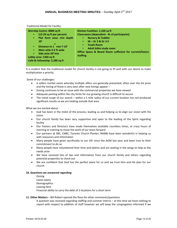Traditional Model for Facility:

It is evident that the traditional model for church facility is not going to fit well with our desire to make multiplication a priority.

Some of our challenges:

- A sellers market exists whereby multiple offers are generally presented, often over the list price and the timing of these is very soon after new listings appear –
- Zoning continues to be an issue with the commercial properties we have viewed
- Adequate parking within the city limits for our growing church is difficult to secure
- The initial scope of our search within a 5 mile radius of our current location has not produced significant results so we are looking outside that area

What we are excited about:

- God has been in the midst of the process, leading us and helping us to align our vision with His vision
- Our church family has been very supportive and open to the leading of the Spirit regarding facility
- Our Pastors and Directors have made themselves available countless times, at crazy hours of morning or evening to move the work of our team forward
- Our partners at SBC, CNBC, Toronto Church Planter, NAMB have been wonderful in helping us with resources and information
- Many people have given sacrificially to our GIF since the AGM last year and been true to their commitment to do so
- Many people have volunteered their time and talents and are waiting in the wings to help as the needs arise
- We have received lots of tips and information from our church family and others regarding potential properties to check out
- We are confident that God has the perfect place for us and we trust Him and His plan for our church

### **10. Questions we answered regarding:**

Zoning Lease expiry Demographics Leasing here Financial ability to carry the debt of 2 locations for a short term

### **11. Other Matters** – Bill Robert opened the floor for other comments/questions

A question was received regarding staffing and summer interns – at this time we have nothing to report with respect to addition of staff however we will keep the congregation informed if we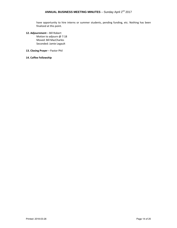# **ANNUAL BUSINESS MEETING MINUTES** - Sunday April 2<sup>nd</sup> 2017

have opportunity to hire interns or summer students, pending funding, etc. Nothing has been finalized at this point.

**12. Adjournment** – Bill Robert

Motion to adjourn @ 7:18 Moved: Bill MacCharles Seconded: Jamie Legault

- **13. Closing Prayer** Pastor Phil
- **14. Coffee Fellowship**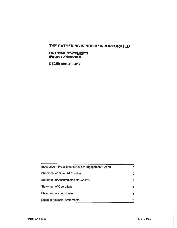### **FINANCIAL STATEMENTS** (Prepared Without Audit)

**DECEMBER 31, 2017** 

| Independent Practitioner's Review Engagement Report |    |
|-----------------------------------------------------|----|
| <b>Statement of Financial Position</b>              | 2  |
| <b>Statement of Accumulated Net Assets</b>          | 3. |
| <b>Statement of Operations</b>                      |    |
| <b>Statement of Cash Flows</b>                      | 5. |
| <b>Notes to Financial Statements</b>                | 6  |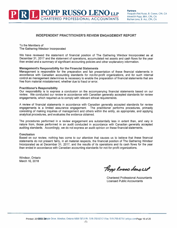### **INDEPENDENT PRACTITIONER'S REVIEW ENGAGEMENT REPORT**

To the Members of The Gathering Windsor Incorporated

We have reviewed the statement of financial position of The Gathering Windsor Incorporated as at December 31, 2017 and the statement of operations, accumulated net assets and cash flows for the year then ended and a summary of significant accounting policies and other explanatory information.

### **Management's Responsibility for the Financial Statements**

Management is responsible for the preparation and fair presentation of these financial statements in accordance with Canadian accounting standards for not-for-profit organizations, and for such internal control as management determines is necessary to enable the preparation of financial statements that are free from material misstatement, whether due to fraud or error.

### **Practitioner's Responsibility**

Our responsibility is to express a conclusion on the accompanying financial statements based on our review. We conducted our review in accordance with Canadian generally accepted standards for review engagements, which required us to comply with relevant ethical requirements.

A review of financial statements in accordance with Canadian generally accepted standards for review engagements is a limited assurance engagement. The practitioner performs procedures, primarily consisting of making inquiries of management and others within the entity, as appropriate, and applying analytical procedures, and evaluates the evidence obtained.

The procedures performed in a review engagement are substantially less in extent than, and vary in nature from, those performed in an audit conducted in accordance with Canadian generally accepted auditing standards. Accordingly, we do not express an audit opinion on these financial statements.

### **Conclusion**

Based on our review, nothing has come to our attention that causes us to believe that these financial statements do not present fairly, in all material respects, the financial position of The Gathering Windsor Incorporated as at December 31, 2017, and the results of its operations and its cash flows for the year then ended in accordance with Canadian accounting standards for not-for-profit organizations.

Windsor, Ontario March 16, 2018

Popp Russo denouve

**Chartered Professional Accountants Licensed Public Accountants**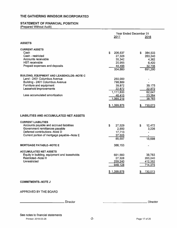# **STATEMENT OF FINANCIAL POSITION**

(Prepared Without Audit)

|                                                                                                                                                                                                           | <b>Year Ended December 31</b><br>2017<br>2016                                                    |                                                                 |  |
|-----------------------------------------------------------------------------------------------------------------------------------------------------------------------------------------------------------|--------------------------------------------------------------------------------------------------|-----------------------------------------------------------------|--|
| <b>ASSETS</b>                                                                                                                                                                                             |                                                                                                  |                                                                 |  |
| <b>CURRENT ASSETS</b><br>Cash<br>Cash - restricted<br>Accounts receivable<br><b>HST</b> receivable<br>Prepaid expenses and deposits                                                                       | \$<br>206,537<br>27,328<br>35,342<br>20,955<br>44,498<br>334,660                                 | \$<br>384,533<br>263,240<br>4,362<br>6,420<br>32,735<br>691,290 |  |
| <b>BUILDING, EQUIPMENT AND LEASEHOLDS--NOTE C</b><br>Land - 2401 Columbus Avenue<br>Building - 2401 Columbus Avenue<br>Furniture and equipment<br>Leasehold improvements<br>Less accumulated amortization | 250,000<br>798,889<br>39,872<br>22,872<br>1,111,633<br>46,415<br>1,065,218<br><u>\$1,399,878</u> | 39,175<br>22,872<br>62,047<br>23,264<br>38,783<br>730,073       |  |
| <b>LIABILITIES AND ACCUMULATED NET ASSETS</b>                                                                                                                                                             |                                                                                                  |                                                                 |  |
| <b>CURRENT LIABILITIES</b><br>Accounts payable and accrued liabilities<br>Government remittances payable<br>Deferred contributions--Note D<br>Current portion of mortgage payable--Note E                 | \$<br>27,529<br>2,850<br>17,713<br>37,505<br>85,597                                              | s<br>12,472<br>3,226<br>15,698                                  |  |
| <b>MORTGAGE PAYABLE--NOTE E</b>                                                                                                                                                                           | 366,153                                                                                          | ٠                                                               |  |
| <b>ACCUMULATED NET ASSETS</b><br>Equity in building, equipment and leaseholds<br>Restricted--Note H<br><b>Unrestricted</b>                                                                                | 661,560<br>27,328<br>259,240<br>948,128<br>\$1,399,878                                           | 38,783<br>263,240<br>412,352<br>714,375<br><u>730,073</u>       |  |
| <b>COMMITMENTS--NOTE J</b>                                                                                                                                                                                |                                                                                                  |                                                                 |  |
| APPROVED BY THE BOARD                                                                                                                                                                                     |                                                                                                  |                                                                 |  |

Director

Director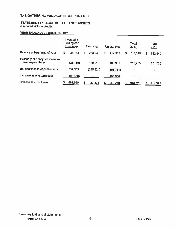# STATEMENT OF ACCUMULATED NET ASSETS

(Prepared Without Audit)

# YEAR ENDED DECEMBER 31, 2017

|                                                      |   | Invested in<br><b>Building and</b><br><b>Equipment</b> | Restricted    |    | Unrestricted |   | Total<br>2017 |     | Total<br>2016                |
|------------------------------------------------------|---|--------------------------------------------------------|---------------|----|--------------|---|---------------|-----|------------------------------|
| Balance at beginning of year                         | S | 38,783                                                 | \$<br>263,240 | \$ | 412,352      | S | 714,375       | \$  | 512,640                      |
| Excess (deficiency) of revenues<br>over expenditures |   | (26, 150)                                              | 149,912       |    | 109.991      |   | 233,753       |     | 201,735                      |
| Net additions to capital assets                      |   | 1,052,585                                              | (385, 824)    |    | (666, 761)   |   |               |     | $\qquad \qquad \blacksquare$ |
| Increase in long-term debt                           |   | (403, 658)                                             |               |    | 403,658      |   |               |     |                              |
| Balance at end of year                               |   | 661,560                                                | 27,328        | S  | 259,240      |   | 948,128       | 55. | 714,375                      |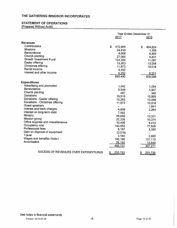# **STATEMENT OF OPERATIONS**

(Prepared Without Audit)

|                                                                                                                                                                                                                                                                                                                                                                                                                                                                              | Year Ended December 31<br>2017 |                                                                                                                                                                             |   | 2016                                                                                                                                                           |
|------------------------------------------------------------------------------------------------------------------------------------------------------------------------------------------------------------------------------------------------------------------------------------------------------------------------------------------------------------------------------------------------------------------------------------------------------------------------------|--------------------------------|-----------------------------------------------------------------------------------------------------------------------------------------------------------------------------|---|----------------------------------------------------------------------------------------------------------------------------------------------------------------|
| <b>Revenues</b><br><b>Contributions</b><br><b>Missions</b><br><b>Benevolence</b><br>Church planting<br><b>Growth Investment Fund</b><br>Easter offering<br>Christmas offering<br>Rental income<br>Interest and other income                                                                                                                                                                                                                                                  | S.                             | 470,565<br>24,916<br>6,006<br>27,065<br>124,300<br>15,263<br>11,673<br>5,450<br>5.252<br>690,490                                                                            | S | 454,624<br>1,355<br>6,802<br>5,831<br>11,097<br>13,058<br>10,018<br>6,221<br>509,006                                                                           |
| <b>Expenditures</b><br>Advertising and promotion<br><b>Benevolence</b><br>Church planting<br><b>Donations</b><br>Donations - Easter offering<br>Donations - Christmas offering<br><b>Guest speakers</b><br>Interest and bank charges<br>Interest on long-term debt<br>Ministry<br>Mission giving<br>Office supplies and miscellaneous<br>Occupancy cost<br><b>Professional fees</b><br>Gain on disposal of equipment<br>Travel<br>Wages and benefits--Note I<br>Amortization |                                | 1.042<br>9,549<br>487<br>19,915<br>15,263<br>11,673<br>6,608<br>7,592<br>28,659<br>22,339<br>10,406<br>143,550<br>8,187<br>(3,019)<br>3,150<br>145,186<br>26,150<br>456,737 |   | 1,054<br>1,947<br>382<br>10,865<br>13,058<br>10,018<br>1,641<br>3,264<br>13,331<br>10,374<br>9,413<br>77,626<br>3,350<br>2,990<br>137,110<br>10,848<br>307,271 |
| <b>EXCESS OF REVENUES OVER EXPENDITURES</b>                                                                                                                                                                                                                                                                                                                                                                                                                                  |                                | 233,753                                                                                                                                                                     |   | 201,735                                                                                                                                                        |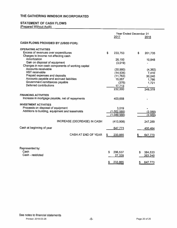# **STATEMENT OF CASH FLOWS**

(Prepared Without Audit)

|                                                                                                                                                                                              | <b>Year Ended December 31</b><br>2017                                       | 2016                                                     |
|----------------------------------------------------------------------------------------------------------------------------------------------------------------------------------------------|-----------------------------------------------------------------------------|----------------------------------------------------------|
| <b>CASH FLOWS PROVIDED BY (USED FOR):</b>                                                                                                                                                    |                                                                             |                                                          |
| <b>OPERATING ACTIVITIES</b><br>Excess of revenues over expenditures<br>Charges to income not affecting cash                                                                                  | \$<br>233,753                                                               | \$<br>201,735                                            |
| Amortization<br>Gain on disposal of equipment<br>Changes in non-cash components of working capital                                                                                           | 26,150<br>(3,019)                                                           | 10,848                                                   |
| <b>Accounts receivable</b><br><b>HST</b> receivable<br>Prepaid expenses and deposits<br>Accounts payable and accrued liabilities<br>Government remittances payable<br>Deferred contributions | (30, 980)<br>(14, 535)<br>(11, 763)<br>15,057<br>(376)<br>17,713<br>232,000 | (4, 362)<br>7,410<br>30,240<br>1,786<br>1,721<br>249,378 |
| <b>FINANCING ACTIVITIES</b><br>Increase in mortgage payable, net of repayments                                                                                                               | 403,658                                                                     |                                                          |
| <b>INVESTMENT ACTIVITIES</b><br>Proceeds on disposal of equipment<br>Additions to building, equipment and leaseholds                                                                         | 3,019<br>(1,052,585)<br>(1,049,566)                                         | (2,089)<br>(2,089)                                       |
| INCREASE (DECREASE) IN CASH                                                                                                                                                                  | (413,908)                                                                   | 247,289                                                  |
| Cash at beginning of year                                                                                                                                                                    | 647,773                                                                     | 400,484                                                  |
| <b>CASH AT END OF YEAR</b>                                                                                                                                                                   | 233,865                                                                     | 647,773                                                  |
| Represented by:<br>Cash<br>Cash - restricted                                                                                                                                                 | S<br>206,537<br>27,328                                                      | 384,533<br>S.<br>263,240                                 |
|                                                                                                                                                                                              | 233,865                                                                     | 647,773<br>5                                             |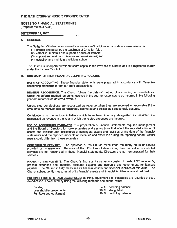**NOTES TO FINANCIAL STATEMENTS** (Prepared Without Audit)

### **DECEMBER 31, 2017**

### A. GENERAL

The Gathering Windsor Incorporated is a not-for-profit religious organization whose mission is to:

- (1) preach and advance the teachings of Christian faith;
- (2) establish, maintain and support a house of worship:
- (3) support and maintain missions and missionaries; and
- (4) establish and maintain a religious school.

The Church is incorporated without share capital in the Province of Ontario and is a registered charity under the Income Tax Act.

### **B. SUMMARY OF SIGNIFICANT ACCOUNTING POLICIES**

BASIS OF ACCOUNTING: These financial statements were prepared in accordance with Canadian accounting standards for not-for-profit organizations.

REVENUE RECOGNITION: The Church follows the deferral method of accounting for contributions. Under the deferral method, amounts received in the year for expenses to be incurred in the following vear are recorded as deferred revenue.

Unrestricted contributions are recognized as revenue when they are received or receivable if the amount to be received can be reasonably estimated and collection is reasonably assured.

Contributions to the various initiatives which have been internally designated as restricted are recognized as revenue in the year in which the related expenses are incurred.

USE OF ACCOUNTING ESTIMATES: The preparation of financial statements requires management and the Board of Directors to make estimates and assumptions that affect the reported amount of assets and liabilities and disclosures of contingent assets and liabilities at the date of the financial statements and the reported amounts of revenues and expenses during the reporting period. Actual results could differ from these estimates.

CONTRIBUTED SERVICES: The operation of the Church relies upon the many hours of service provided by its members. Because of the difficulties of determining their fair value, contributed services are not recognized in these financial statements. Directors are not remunerated for their services.

FINANCIAL INSTRUMENTS: The Church's financial instruments consist of cash, HST receivable, prepaid expenses and deposits, accounts payable and accruals and government remittances payable. The Church initially measures its financial assets and financial liabilities at fair value. The Church subsequently measures all of its financial assets and financial liabilities at amortized cost.

**BUILDING, EQUIPMENT AND LEASEHOLDS:** Building, equipment and leaseholds are recorded at cost. Amortization is calculated by using the following methods and annual rates:

| <b>Building</b>         | 4 % declining balance  |
|-------------------------|------------------------|
| Leasehold improvements  | 20 % straight-line     |
| Furniture and equipment | 20 % declining balance |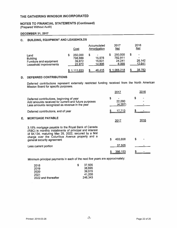**NOTES TO FINANCIAL STATEMENTS (Continued)** (Prepared Without Audit)

### **DECEMBER 31, 2017**

E.

### C. BUILDING, EQUIPMENT AND LEASEHOLDS

|                                                                              |   | Cost                                   |   | Accumulated<br>Amortization                                |   | 2017<br><u>Net</u>                    | 2016<br><b>Net</b>                              |
|------------------------------------------------------------------------------|---|----------------------------------------|---|------------------------------------------------------------|---|---------------------------------------|-------------------------------------------------|
| Land<br><b>Building</b><br>Furniture and equipment<br>Leasehold improvements | S | 250,000<br>798,889<br>39,872<br>22,872 | 5 | $\qquad \qquad \blacksquare$<br>15,978<br>15,631<br>14,806 | S | 250,000<br>782,911<br>24,241<br>8,066 | $\blacksquare$<br>$\bullet$<br>26,142<br>12,641 |
|                                                                              |   | 1,111,633                              |   | 46,415                                                     |   | \$1,065,218                           | 38,783                                          |

### **D. DEFERRED CONTRIBUTIONS**

Deferred contributions represent externally restricted funding received from the North American<br>Mission Board for specific purposes.

|                                                                                                                                                                                                                                                        | 2017                    | 2016 |
|--------------------------------------------------------------------------------------------------------------------------------------------------------------------------------------------------------------------------------------------------------|-------------------------|------|
| Deferred contributions, beginning of year<br>Add amounts received for current and future purposes<br>Less amounts recognized as revenue in the year                                                                                                    | S<br>22,000<br>(4, 287) | S    |
| Deferred contributions, end of year                                                                                                                                                                                                                    | <u>17,713</u>           |      |
| <b>MORTGAGE PAYABLE</b>                                                                                                                                                                                                                                | 2017                    | 2016 |
| 3.15% mortgage payable to the Royal Bank of Canada<br>(RBC) in monthly installments of principal and interest<br>of \$4,134, maturing May 29, 2022, secured by a first<br>charge over the Columbus Avenue property and a<br>general security agreement | 403,658<br>S            |      |
| Less current portion                                                                                                                                                                                                                                   | 37,505                  |      |
|                                                                                                                                                                                                                                                        | 366,153                 |      |

Minimum principal payments in each of the next five years are approximately:

| S | 37.505  |
|---|---------|
|   | 38,695  |
|   | 39,915  |
|   | 41,200  |
|   | 246,343 |
|   |         |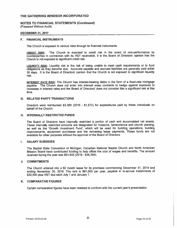**NOTES TO FINANCIAL STATEMENTS (Continued)** (Prepared Without Audit)

### **DECEMBER 31, 2017**

### F. FINANCIAL INSTRUMENTS

The Church is exposed to various risks through its financial instruments.

The Church is exposed to credit risk in the event of non-performance by CREDIT RISK: counterparties in connection with its HST receivable. It is the Board of Directors' opinion that the Church is not exposed to significant credit risk.

LIQUIDITY RISK: Liquidity risk is the risk of being unable to meet cash requirements or to fund obligations as they become due. Accounts payable and accrued liabilities are generally paid within 30 days. It is the Board of Directors' opinion that the Church is not exposed to significant liquidity risk.

INTEREST RATE RISK: The Church has interest-bearing debts in the form of a fixed-rate mortgage payable. The Church does not enter into interest swap contracts to hedge against exposure to increases in interest rates and the Board of Directors' does not consider this a significant risk at this time.

### **G. RELATED PARTY TRANSACTIONS**

Directors were reimbursed \$3,380 (2016 - \$1,572) for expenditures paid by these individuals on behalf of the Church.

### H. INTERNALLY RESTRICTED FUNDS

The Board of Directors have internally restricted a portion of cash and accumulated net assets. These internally restricted amounts are designated for missions, benevolence and church planting, as well as the 'Growth Investment Fund', which will be used for building operations, building improvements, equipment purchases and the remaining lease payments. These funds are not available for other purposes without the approval of the Board of Directors.

#### **SALARY SUBSIDIES**  $\mathbf{L}$

The Baptist State Convention of Michigan, Canadian National Baptist Church and North American Mission Board have contributed funding to help offset the cost of wages and benefits. The amount received during the year was \$61,845 (2016 - \$36,394).

### J. COMMITMENTS

The Church entered into a 60 month lease for its premises commencing December 31, 2014 and ending November 30, 2019. The rent is \$61,000 per year, payable in bi-annual installments of \$30,500 plus HST due each July 1 and January 1.

### K. COMPARATIVE FIGURES

Certain comparative figures have been restated to conform with the current year's presentation.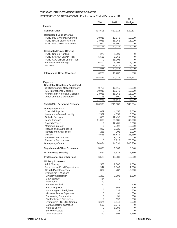### **STATEMENT OF OPERATIONS - For the Year Ended December 31**

|                                                                        | 2016             | 2017             | 2018             |
|------------------------------------------------------------------------|------------------|------------------|------------------|
| <b>Income</b>                                                          |                  |                  | <b>Budget</b>    |
|                                                                        |                  |                  |                  |
| <b>General Funds</b>                                                   | 494,506          | 537,314          | 529,677          |
| <b>Restricted Funds Offering</b>                                       |                  |                  |                  |
| <b>FUND IMB Christmas Offering</b><br><b>FUND NAMB Easter Offering</b> | 10,018<br>13,058 | 11,673<br>15,263 | 10,000<br>15,000 |
| <b>FUND GIF Growth Investment</b>                                      | 11,097           | 124,300          | 0                |
|                                                                        | 34,173           | 151,235          | 25,000           |
| <b>Designated Funds Offering</b>                                       |                  |                  |                  |
| <b>FUND Church Planting</b>                                            | 270              | 1,000            | 0                |
| <b>FUND SARNIA Church Plant</b>                                        | 5,561            | 9,962            | 0                |
| <b>FUND GODERICH Church Plant</b>                                      | 0                | 16,103           | 0                |
| <b>Benevolence Offerings</b>                                           | 6,802            | 6,006            | 4,000            |
| <b>Missions</b>                                                        | 1,355<br>13,988  | 24,916<br>57,988 | 25,000<br>29,000 |
|                                                                        |                  |                  |                  |
| <b>Interest and Other Revenues</b>                                     | 6,220            | 10,702           | 800              |
|                                                                        | 548,887          | 757,239          | 584,477          |
| <b>Expense</b><br><b>Charitable Donations-Registered</b>               |                  |                  |                  |
| <b>CNBC Canadian National Baptist</b>                                  | 9,750            | 12,115           | 12,000           |
| <b>IMB International Missions</b>                                      | 10,018           | 11,673           | 10,000           |
| <b>NAMB North American Missions</b>                                    | 13,058           | 15,263           | 15,000           |
| Other Charitable Donations                                             | 1,115            | 7,800            | 5,000            |
|                                                                        | 33,941           | 46,851           | 42.000           |
| Total 6000 · Personnel Expense                                         | 176,993          | 211,936          | 180,054          |
| <b>Occupancy Costs</b>                                                 |                  |                  |                  |
| <b>Custodial Supplies</b><br>Insurance - General Liability             | 689<br>2,522     | 4,156            | 7,500            |
| <b>Outside Services</b>                                                | 875              | 4,359<br>12,495  | 5,000<br>23,950  |
| Lease Expense                                                          | 61,000           | 65,685           | 67,000           |
| <b>Property Taxes</b>                                                  | 0                | 12,401           | 18,000           |
| Mortgage Interest                                                      | 0                | 7,592            | 12,000           |
| Repairs and Maintenance                                                | 837              | 3,026            | 6,500            |
| <b>Rentals and Small Tools</b><br><b>Utilities</b>                     | 258<br>8,655     | 902              | 2,000            |
| Phase 0 - Renovations                                                  | 0                | 18,472<br>8,225  | 28,250<br>0      |
| Phase 1 - Renovations                                                  | 0                | 6,719            | 75,000           |
| <b>Occupancy Costs</b>                                                 | 74,834           | 144,031          | 245,200          |
| <b>Supplies and Office Expenses</b>                                    | 5,608            | 6,569            | 5,640            |
| <b>IT / Internet / Security</b>                                        | 1,567            | 3,534            | 1,360            |
| <b>Professional and Other Fees</b>                                     | 6,528            | 15,331           | 13,800           |
| <b>Ministry Expenses</b>                                               |                  |                  |                  |
| <b>Adult Ministry</b>                                                  | 508              | 2,886            | 1,000            |
| <b>Benevolence Fund Expenditures</b><br><b>Church Plant Expenses</b>   | 1,947<br>382     | 9,549<br>487     | 4,000<br>12,000  |
| <b>Evangelism &amp; Missions</b>                                       |                  |                  |                  |
| <b>Birthday Celebration</b>                                            | 1,292            | 1,698            | 1,500            |
| <b>BBQ Baptism</b>                                                     | 434              | 0                |                  |
| Fall Launch                                                            | 790              | 0                |                  |
| <b>Harvest Festival</b>                                                | 290              | 0                | 500              |
| Easter Egg Hunt<br>Honouring our Firefighters                          | 0<br>0           | 363<br>138       | 500<br>500       |
| <b>Missions Teams Expenses</b>                                         | 0                | 91               | 500              |
| Canvassing Community                                                   | 0                | 31               | 500              |
| <b>Old Fashioned Christmas</b>                                         | 0                | 193              | 250              |
| Evangelism - SURGE Camps                                               | 6,674            | 3,148            | 2,000            |
| Sarnia Missions Outreach                                               | 503              | 1,240            | 0                |
| Night to Shine<br>Service Projects                                     | 0<br>0           | 8,195<br>28      | 0<br>0           |
| Local Outreach                                                         | 390              | 595              | 1,750            |